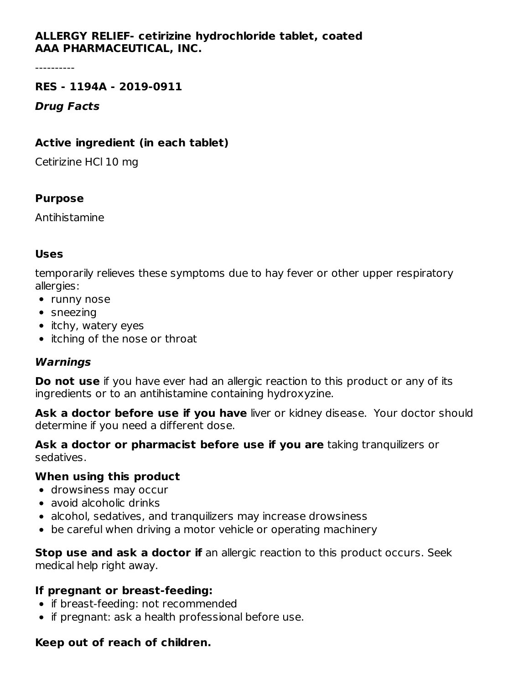# **ALLERGY RELIEF- cetirizine hydrochloride tablet, coated AAA PHARMACEUTICAL, INC.**

----------

#### **RES - 1194A - 2019-0911**

**Drug Facts**

### **Active ingredient (in each tablet)**

Cetirizine HCl 10 mg

### **Purpose**

Antihistamine

### **Uses**

temporarily relieves these symptoms due to hay fever or other upper respiratory allergies:

- runny nose
- sneezing
- itchy, watery eyes
- itching of the nose or throat

# **Warnings**

**Do not use** if you have ever had an allergic reaction to this product or any of its ingredients or to an antihistamine containing hydroxyzine.

**Ask a doctor before use if you have** liver or kidney disease. Your doctor should determine if you need a different dose.

**Ask a doctor or pharmacist before use if you are** taking tranquilizers or sedatives.

### **When using this product**

- drowsiness may occur
- avoid alcoholic drinks
- alcohol, sedatives, and tranquilizers may increase drowsiness
- be careful when driving a motor vehicle or operating machinery

**Stop use and ask a doctor if** an allergic reaction to this product occurs. Seek medical help right away.

### **If pregnant or breast-feeding:**

- if breast-feeding: not recommended
- if pregnant: ask a health professional before use.

### **Keep out of reach of children.**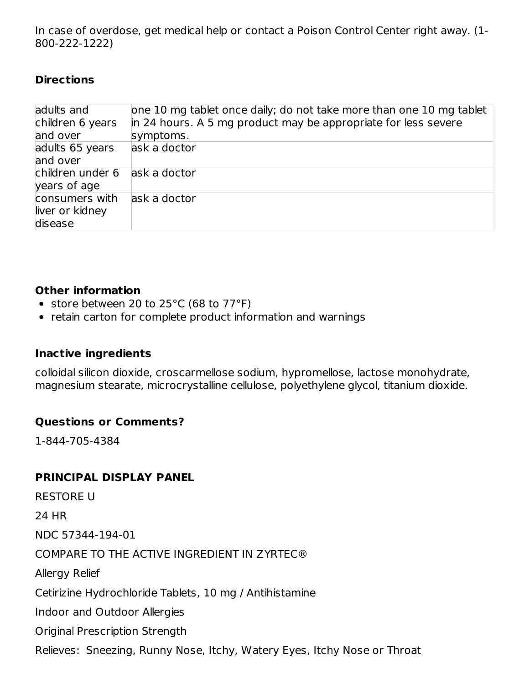In case of overdose, get medical help or contact a Poison Control Center right away. (1- 800-222-1222)

### **Directions**

| adults and<br>children 6 years<br>and over   | one 10 mg tablet once daily; do not take more than one 10 mg tablet<br>in 24 hours. A 5 mg product may be appropriate for less severe<br>symptoms. |
|----------------------------------------------|----------------------------------------------------------------------------------------------------------------------------------------------------|
| adults 65 years<br>and over                  | ask a doctor                                                                                                                                       |
| children under 6<br>years of age             | ask a doctor                                                                                                                                       |
| consumers with<br>liver or kidney<br>disease | ask a doctor                                                                                                                                       |

### **Other information**

- store between 20 to  $25^{\circ}$ C (68 to  $77^{\circ}$ F)
- retain carton for complete product information and warnings

# **Inactive ingredients**

colloidal silicon dioxide, croscarmellose sodium, hypromellose, lactose monohydrate, magnesium stearate, microcrystalline cellulose, polyethylene glycol, titanium dioxide.

# **Questions or Comments?**

1-844-705-4384

# **PRINCIPAL DISPLAY PANEL**

RESTORE U 24 HR NDC 57344-194-01 COMPARE TO THE ACTIVE INGREDIENT IN ZYRTEC® Allergy Relief Cetirizine Hydrochloride Tablets, 10 mg / Antihistamine Indoor and Outdoor Allergies Original Prescription Strength Relieves: Sneezing, Runny Nose, Itchy, Watery Eyes, Itchy Nose or Throat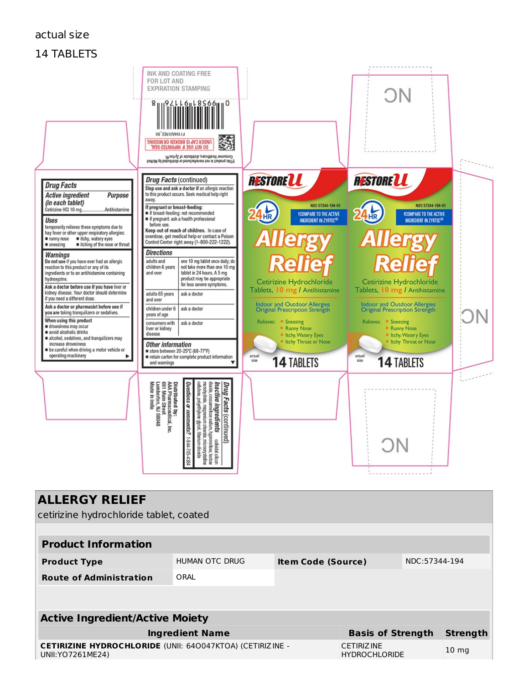#### actual size

### 14 TABLETS



| <b>ALLERGY RELIEF</b> |  |
|-----------------------|--|
|-----------------------|--|

cetirizine hydrochloride tablet, coated

| <b>Product Information</b>                                                        |                |                           |                                           |               |                 |  |  |  |  |  |
|-----------------------------------------------------------------------------------|----------------|---------------------------|-------------------------------------------|---------------|-----------------|--|--|--|--|--|
| <b>Product Type</b>                                                               | HUMAN OTC DRUG | <b>Item Code (Source)</b> |                                           | NDC:57344-194 |                 |  |  |  |  |  |
| <b>Route of Administration</b>                                                    | ORAI           |                           |                                           |               |                 |  |  |  |  |  |
|                                                                                   |                |                           |                                           |               |                 |  |  |  |  |  |
| <b>Active Ingredient/Active Moiety</b>                                            |                |                           |                                           |               |                 |  |  |  |  |  |
| <b>Ingredient Name</b>                                                            |                |                           | <b>Basis of Strength</b>                  |               | <b>Strength</b> |  |  |  |  |  |
| CETIRIZINE HYDROCHLORIDE (UNII: 640047KTOA) (CETIRIZINE -<br>UNII: YO 7261 ME 24) |                |                           | <b>CETIRIZINE</b><br><b>HYDROCHLORIDE</b> |               | $10 \text{ mg}$ |  |  |  |  |  |